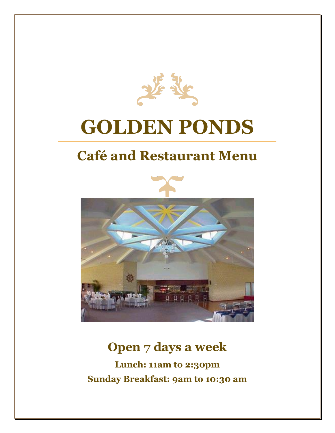

# **GOLDEN PONDS**

# **Café and Restaurant Menu**



## **Open 7 days a week**

**Lunch: 11am to 2:30pm Sunday Breakfast: 9am to 10:30 am**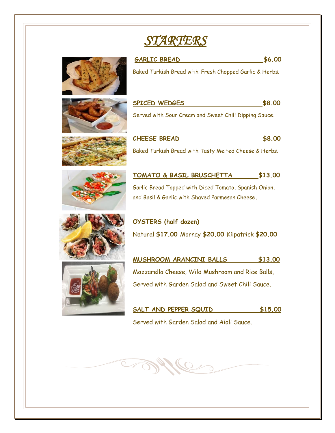# *STARTERS*



 $\bigcirc$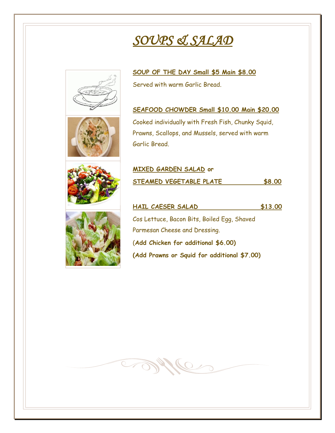# *SOUPS & SALAD*

**MIXED GARDEN SALAD or**

**STARVICE** 





**SOUP OF THE DAY Small \$5 Main \$8.00**  Served with warm Garlic Bread.

#### **SEAFOOD CHOWDER Small \$10.00 Main \$20.00**

Cooked individually with Fresh Fish, Chunky Squid, Prawns, Scallops, and Mussels, served with warm Garlic Bread.



### **HAIL CAESER SALAD \$13.00**  Cos Lettuce, Bacon Bits, Boiled Egg, Shaved Parmesan Cheese and Dressing. (**Add Chicken for additional \$6.00) (Add Prawns or Squid for additional \$7.00)**

**STEAMED VEGETABLE PLATE \$8.00**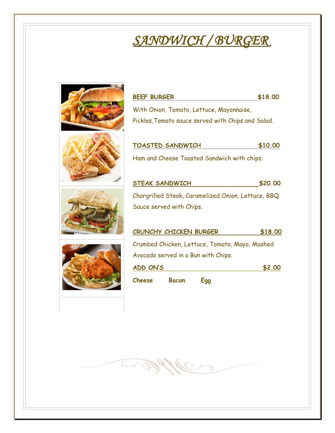# *SANDWICH / BURGER*



**STARKING**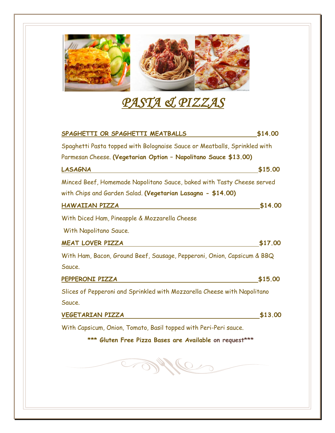

# *PASTA & PIZZAS*

| SPAGHETTI OR SPAGHETTI MEATBALLS                                          | \$14.00 |
|---------------------------------------------------------------------------|---------|
| Spaghetti Pasta topped with Bolognaise Sauce or Meatballs, Sprinkled with |         |
| Parmesan Cheese. (Vegetarian Option - Napolitano Sauce \$13.00)           |         |
| <b>LASAGNA</b>                                                            | \$15.00 |
| Minced Beef, Homemade Napolitano Sauce, baked with Tasty Cheese served    |         |
| with Chips and Garden Salad. (Vegetarian Lasagna - \$14.00)               |         |
| HAWAIIAN PIZZA                                                            | \$14.00 |
| With Diced Ham, Pineapple & Mozzarella Cheese                             |         |
| With Napolitano Sauce.                                                    |         |
| <b>MEAT LOVER PIZZA</b>                                                   | \$17.00 |
| With Ham, Bacon, Ground Beef, Sausage, Pepperoni, Onion, Capsicum & BBQ   |         |
| Sauce.                                                                    |         |
| PEPPERONI PIZZA                                                           | \$15.00 |
| Slices of Pepperoni and Sprinkled with Mozzarella Cheese with Napolitano  |         |
| Sauce.                                                                    |         |
| VEGETARIAN PIZZA                                                          | \$13.00 |
| With Capsicum, Onion, Tomato, Basil topped with Peri-Peri sauce.          |         |
| *** Gluten Free Pizza Bases are Available on request***                   |         |
| <b>SIMIC</b>                                                              |         |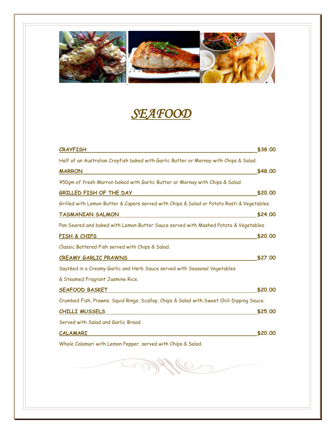

# *SEAFOOD*

| <b>CRAYFISH</b>                                                                                                                         | \$38.00 |
|-----------------------------------------------------------------------------------------------------------------------------------------|---------|
| Half of an Australian Crayfish baked with Garlic Butter or Mornay with Chips & Salad.                                                   |         |
| <b>MARRON</b><br><u> 1980 - Andrea Andrew Maria (h. 1980).</u>                                                                          | \$48.00 |
| 450gm of fresh Marron baked with Garlic Butter or Mornay with Chips & Salad.                                                            |         |
| GRILLED FISH OF THE DAY                                                                                                                 | \$20.00 |
| Grilled with Lemon Butter & Capers served with Chips & Salad or Potato Rosti & Vegetables.                                              |         |
| <b>TASMANIAN SALMON</b><br><u> 1980 - Johann Barbara, martxa alemaniar a</u>                                                            | \$24.00 |
| Pan Seared and baked with Lemon Butter Sauce served with Mashed Potato & Vegetables.                                                    |         |
| FISH & CHIPS<br><u> 1989 - Johann Barbara, martxa alemaniar a</u>                                                                       | \$20.00 |
| Classic Battered Fish served with Chips & Salad.                                                                                        |         |
| CREAMY GARLIC PRAWNS                                                                                                                    | \$27,00 |
| Sautéed in a Creamy Garlic and Herb Sauce served with Seasonal Vegetables                                                               |         |
| & Steamed Fragrant Jasmine Rice.                                                                                                        |         |
| <b>SEAFOOD BASKET</b>                                                                                                                   | \$20,00 |
| Crumbed Fish, Prawns, Squid Rings, Scallop, Chips & Salad with Sweet Chili Dipping Sauce.                                               |         |
| <u> 1989 - John Stein, mars and der stad and der stad and der stad and der stad and der stad and der stad and der</u><br>CHILLI MUSSELS | \$25,00 |
| Served with Salad and Garlic Bread.                                                                                                     |         |
| <u>CALAMARI</u><br><u> 1989 - Johann Stein, marwolaethau a bhann an t-Amhair an t-Amhair an t-Amhair an t-Amhair an t-Amhair an t-A</u> | \$20,00 |
| Whole Calamari with Lemon Pepper, served with Chips & Salad.                                                                            |         |
|                                                                                                                                         |         |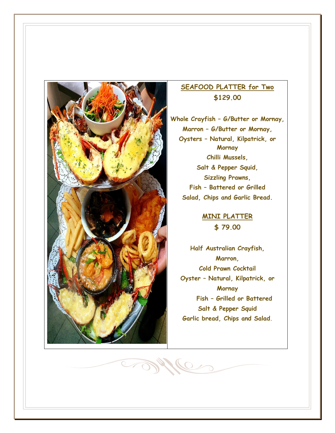

MAC

#### **SEAFOOD PLATTER for Two \$129.00**

**Whole Crayfish – G/Butter or Mornay, Marron – G/Butter or Mornay, Oysters – Natural, Kilpatrick, or Mornay Chilli Mussels, Salt & Pepper Squid, Sizzling Prawns, Fish – Battered or Grilled Salad, Chips and Garlic Bread.**

> **MINI PLATTER \$ 79.00**

**Half Australian Crayfish, Marron, Cold Prawn Cocktail Oyster – Natural, Kilpatrick, or Mornay Fish – Grilled or Battered Salt & Pepper Squid Garlic bread, Chips and Salad.**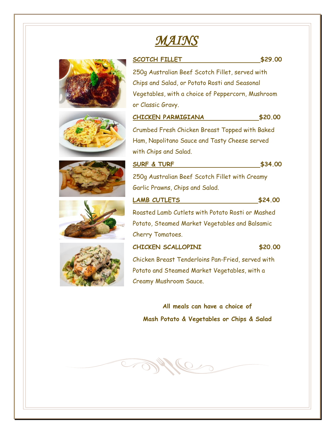## *MAINS*



**All meals can have a choice of Mash Potato & Vegetables or Chips & Salad**

**CAPPLE** 









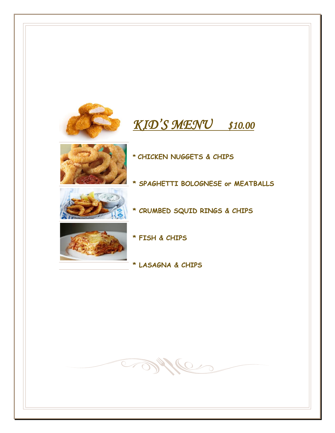